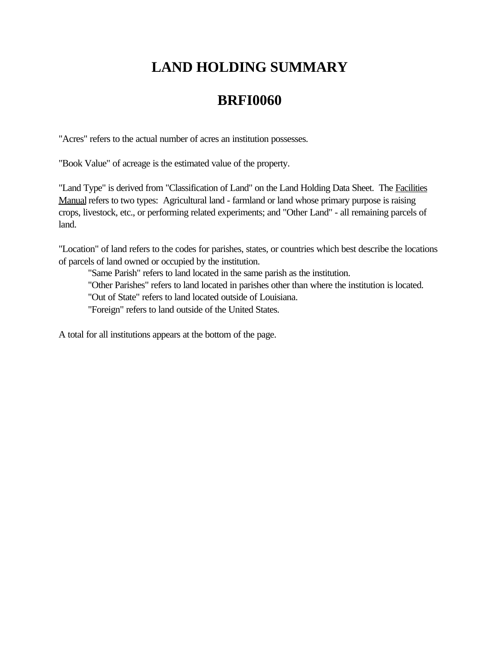## **LAND HOLDING SUMMARY**

## **BRFI0060**

"Acres" refers to the actual number of acres an institution possesses.

"Book Value" of acreage is the estimated value of the property.

"Land Type" is derived from "Classification of Land" on the Land Holding Data Sheet. The Facilities Manual refers to two types: Agricultural land - farmland or land whose primary purpose is raising crops, livestock, etc., or performing related experiments; and "Other Land" - all remaining parcels of land.

"Location" of land refers to the codes for parishes, states, or countries which best describe the locations of parcels of land owned or occupied by the institution.

"Same Parish" refers to land located in the same parish as the institution. "Other Parishes" refers to land located in parishes other than where the institution is located. "Out of State" refers to land located outside of Louisiana. "Foreign" refers to land outside of the United States.

A total for all institutions appears at the bottom of the page.